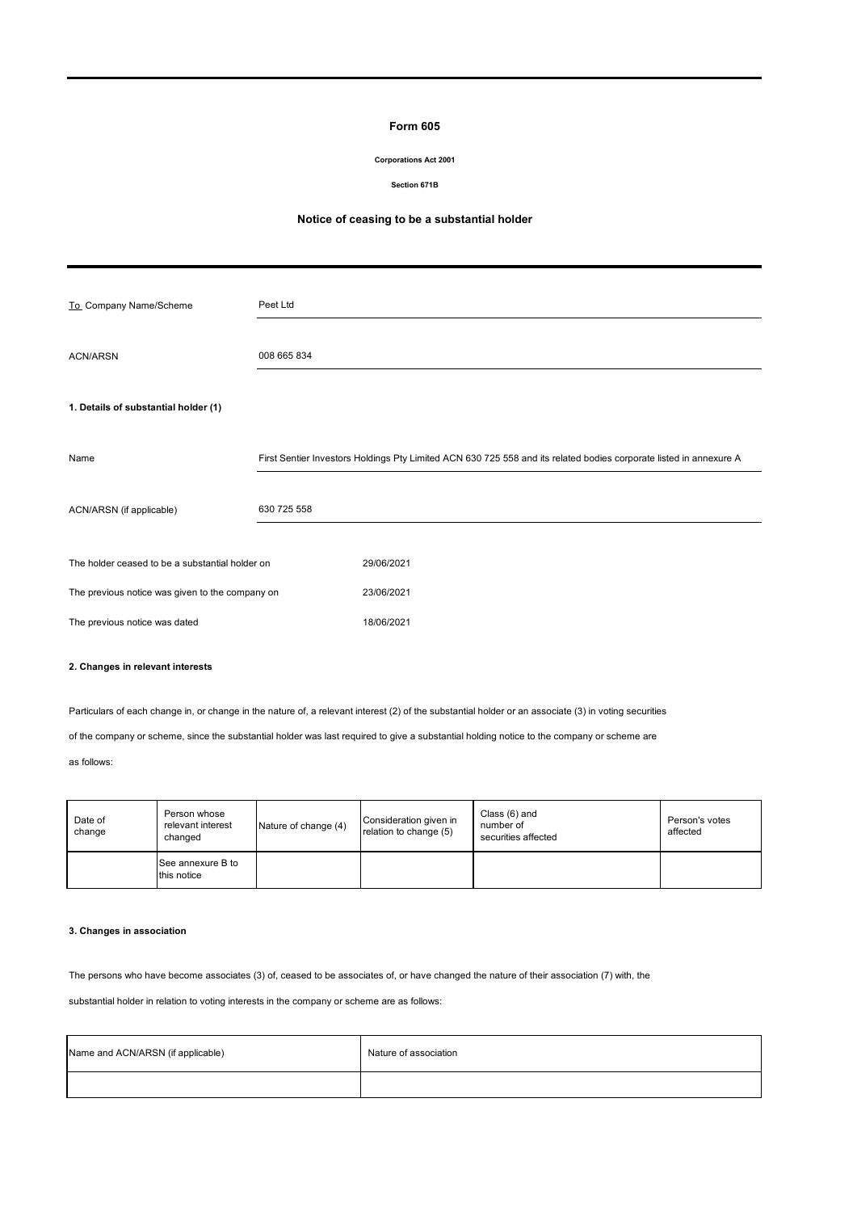## **Form 605**

### **Corporations Act 2001**

### **Section 671B**

# **Notice of ceasing to be a substantial holder**

| To_Company Name/Scheme                          | Peet Ltd    |                                                                                                                    |  |  |
|-------------------------------------------------|-------------|--------------------------------------------------------------------------------------------------------------------|--|--|
| <b>ACN/ARSN</b>                                 | 008 665 834 |                                                                                                                    |  |  |
| 1. Details of substantial holder (1)            |             |                                                                                                                    |  |  |
| Name                                            |             | First Sentier Investors Holdings Pty Limited ACN 630 725 558 and its related bodies corporate listed in annexure A |  |  |
| ACN/ARSN (if applicable)                        | 630 725 558 |                                                                                                                    |  |  |
| The holder ceased to be a substantial holder on |             | 29/06/2021                                                                                                         |  |  |
| The previous notice was given to the company on |             | 23/06/2021                                                                                                         |  |  |
| The previous notice was dated                   |             | 18/06/2021                                                                                                         |  |  |

## **2. Changes in relevant interests**

Particulars of each change in, or change in the nature of, a relevant interest (2) of the substantial holder or an associate (3) in voting securities

of the company or scheme, since the substantial holder was last required to give a substantial holding notice to the company or scheme are

as follows:

| Date of<br>change | Person whose<br>relevant interest<br>changed | Nature of change (4) | Consideration given in<br>relation to change (5) | Class (6) and<br>number of<br>securities affected | Person's votes<br>affected |
|-------------------|----------------------------------------------|----------------------|--------------------------------------------------|---------------------------------------------------|----------------------------|
|                   | See annexure B to<br>this notice             |                      |                                                  |                                                   |                            |

# **3. Changes in association**

The persons who have become associates (3) of, ceased to be associates of, or have changed the nature of their association (7) with, the

substantial holder in relation to voting interests in the company or scheme are as follows:

| Name and ACN/ARSN (if applicable) | Nature of association |
|-----------------------------------|-----------------------|
|                                   |                       |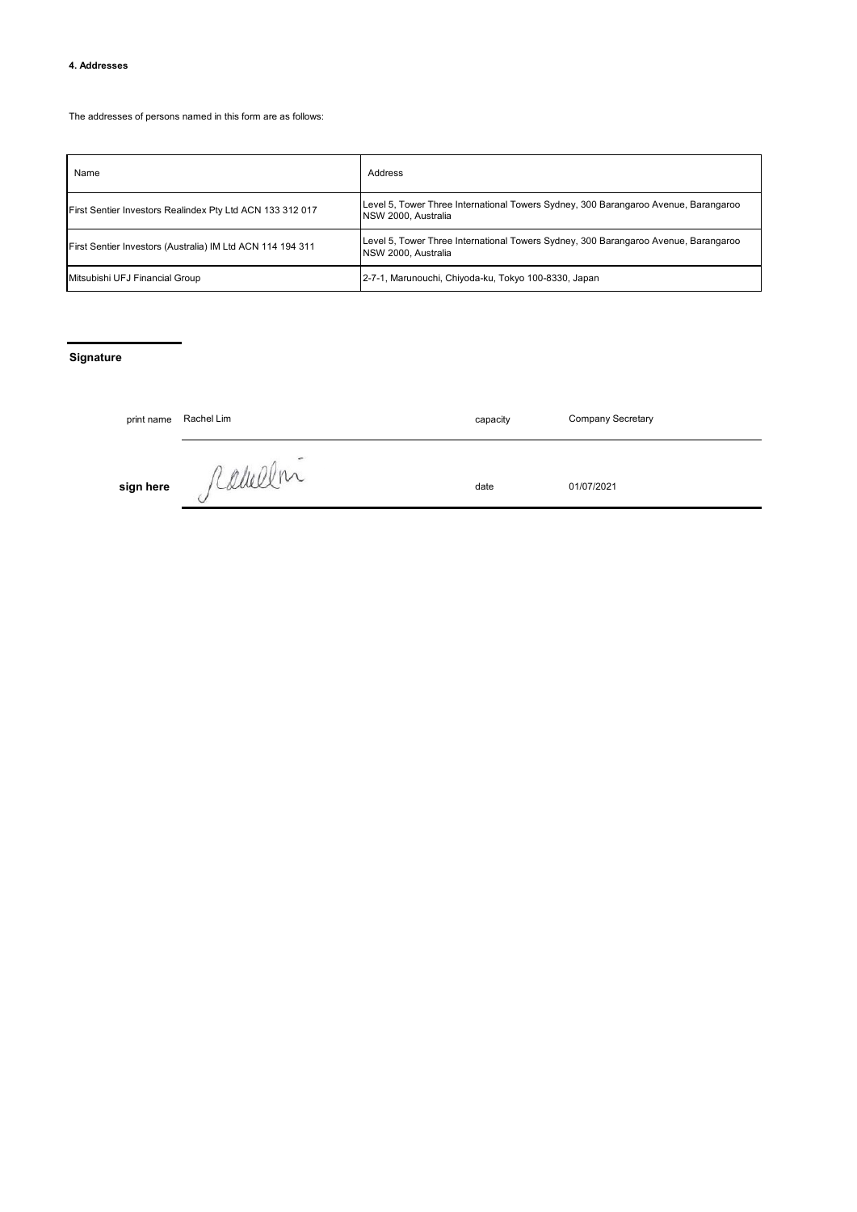## **4. Addresses**

The addresses of persons named in this form are as follows:

| Name                                                       | Address                                                                                                    |
|------------------------------------------------------------|------------------------------------------------------------------------------------------------------------|
| First Sentier Investors Realindex Pty Ltd ACN 133 312 017  | Level 5, Tower Three International Towers Sydney, 300 Barangaroo Avenue, Barangaroo<br>NSW 2000, Australia |
| First Sentier Investors (Australia) IM Ltd ACN 114 194 311 | Level 5, Tower Three International Towers Sydney, 300 Barangaroo Avenue, Barangaroo<br>NSW 2000. Australia |
| Mitsubishi UFJ Financial Group                             | 2-7-1, Marunouchi, Chiyoda-ku, Tokyo 100-8330, Japan                                                       |

# **Signature**

| print name | Rachel Lim | capacity | <b>Company Secretary</b> |
|------------|------------|----------|--------------------------|
| sign here  | ramelin    | date     | 01/07/2021               |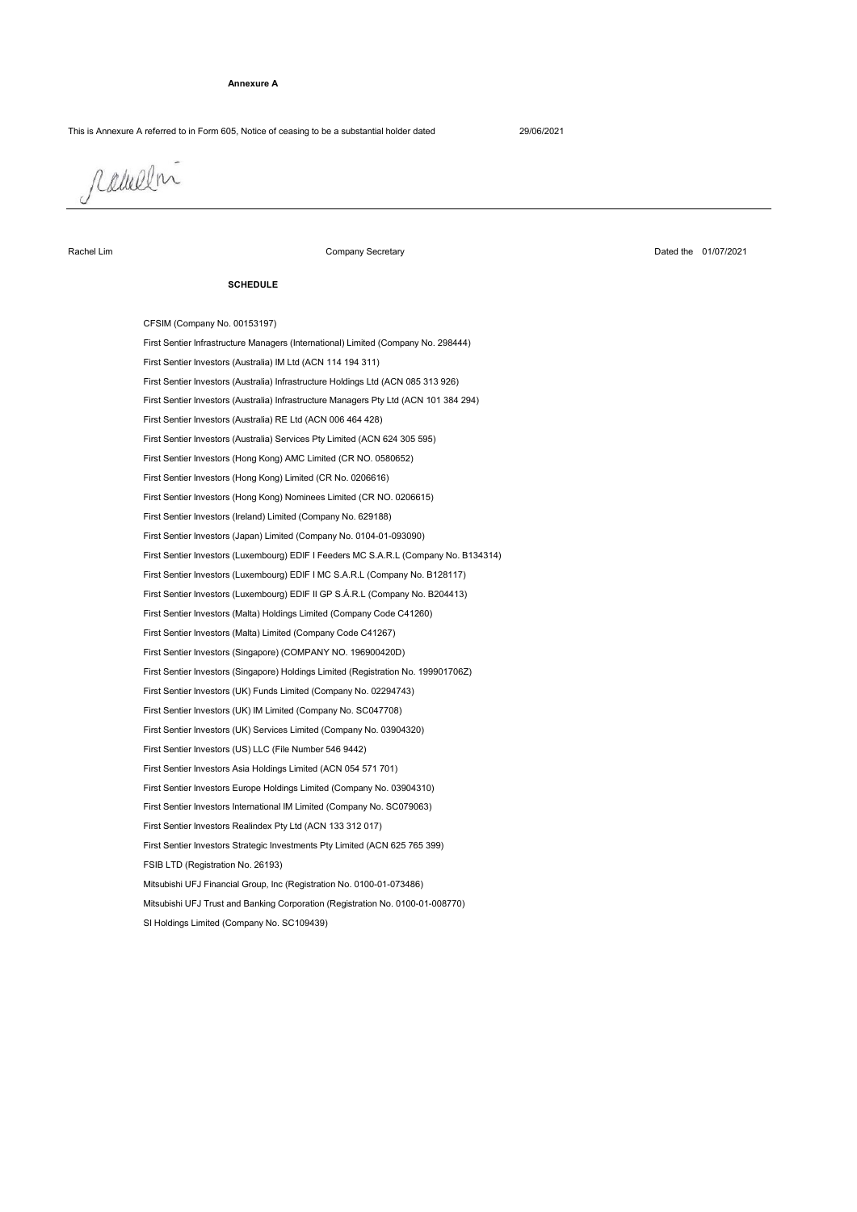### **Annexure A**

This is Annexure A referred to in Form 605, Notice of ceasing to be a substantial holder dated 29/06/2021

radullni

## Rachel Lim

Company Secretary

## Dated the 01/07/2021

#### **SCHEDULE**

SI Holdings Limited (Company No. SC109439) CFSIM (Company No. 00153197) First Sentier Investors (Luxembourg) EDIF I MC S.A.R.L (Company No. B128117) First Sentier Investors (Luxembourg) EDIF II GP S.Á.R.L (Company No. B204413) First Sentier Investors (Japan) Limited (Company No. 0104-01-093090) First Sentier Infrastructure Managers (International) Limited (Company No. 298444) First Sentier Investors (Australia) IM Ltd (ACN 114 194 311) First Sentier Investors (Luxembourg) EDIF I Feeders MC S.A.R.L (Company No. B134314) First Sentier Investors (Ireland) Limited (Company No. 629188) First Sentier Investors (Australia) Infrastructure Holdings Ltd (ACN 085 313 926) First Sentier Investors (Australia) Infrastructure Managers Pty Ltd (ACN 101 384 294) First Sentier Investors (Hong Kong) Nominees Limited (CR NO. 0206615) First Sentier Investors (Australia) RE Ltd (ACN 006 464 428) First Sentier Investors (Hong Kong) Limited (CR No. 0206616) First Sentier Investors (Australia) Services Pty Limited (ACN 624 305 595) First Sentier Investors (Hong Kong) AMC Limited (CR NO. 0580652) First Sentier Investors Europe Holdings Limited (Company No. 03904310) First Sentier Investors Asia Holdings Limited (ACN 054 571 701) Mitsubishi UFJ Financial Group, Inc (Registration No. 0100-01-073486) First Sentier Investors (UK) Funds Limited (Company No. 02294743) First Sentier Investors (UK) IM Limited (Company No. SC047708) First Sentier Investors (UK) Services Limited (Company No. 03904320) First Sentier Investors (US) LLC (File Number 546 9442) First Sentier Investors (Malta) Limited (Company Code C41267) First Sentier Investors (Malta) Holdings Limited (Company Code C41260) First Sentier Investors (Singapore) Holdings Limited (Registration No. 199901706Z) First Sentier Investors (Singapore) (COMPANY NO. 196900420D) Mitsubishi UFJ Trust and Banking Corporation (Registration No. 0100-01-008770) FSIB LTD (Registration No. 26193) First Sentier Investors Strategic Investments Pty Limited (ACN 625 765 399) First Sentier Investors Realindex Pty Ltd (ACN 133 312 017) First Sentier Investors International IM Limited (Company No. SC079063)